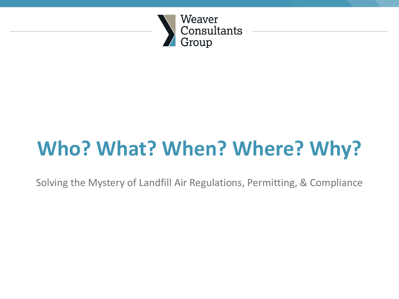

# **Who? What? When? Where? Why?**

Solving the Mystery of Landfill Air Regulations, Permitting, & Compliance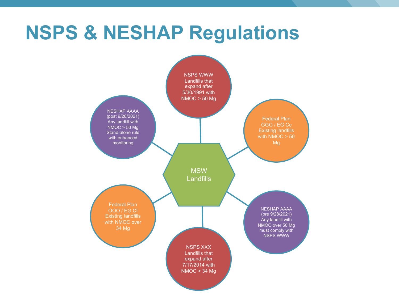### **NSPS & NESHAP Regulations**

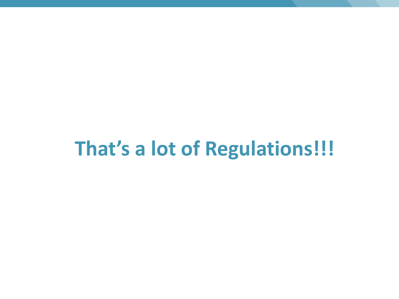## **That's a lot of Regulations!!!**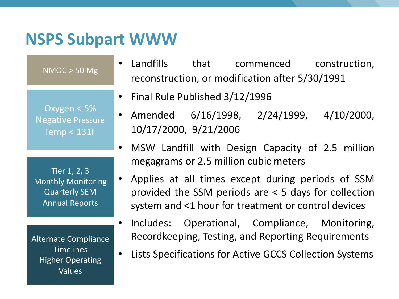#### **NSPS Subpart WWW**

Oxygen < 5% Negative Pressure Temp < 131F

NMOC > 50 Mg

Tier 1, 2, 3 Monthly Monitoring Quarterly SEM Annual Reports

Alternate Compliance **Timelines** Higher Operating Values

- Landfills that commenced construction, reconstruction, or modification after 5/30/1991
- Final Rule Published 3/12/1996
- Amended 6/16/1998, 2/24/1999, 4/10/2000, 10/17/2000, 9/21/2006
- MSW Landfill with Design Capacity of 2.5 million megagrams or 2.5 million cubic meters
- Applies at all times except during periods of SSM provided the SSM periods are < 5 days for collection system and <1 hour for treatment or control devices
- Includes: Operational, Compliance, Monitoring, Recordkeeping, Testing, and Reporting Requirements
- Lists Specifications for Active GCCS Collection Systems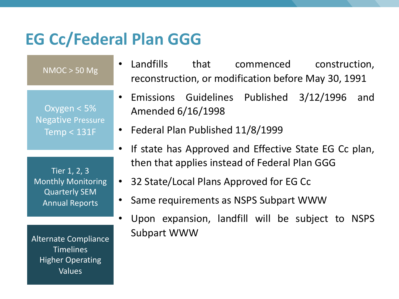#### **EG Cc/Federal Plan GGG**

• Landfills that commenced construction, reconstruction, or modification before May 30, 1991 • Emissions Guidelines Published 3/12/1996 and Amended 6/16/1998 • Federal Plan Published 11/8/1999 If state has Approved and Effective State EG Cc plan, then that applies instead of Federal Plan GGG • 32 State/Local Plans Approved for EG Cc • Same requirements as NSPS Subpart WWW • Upon expansion, landfill will be subject to NSPS Subpart WWW Oxygen < 5% Negative Pressure Temp < 131F Tier 1, 2, 3 Monthly Monitoring Quarterly SEM Annual Reports Alternate Compliance **Timelines** Higher Operating Values NMOC > 50 Mg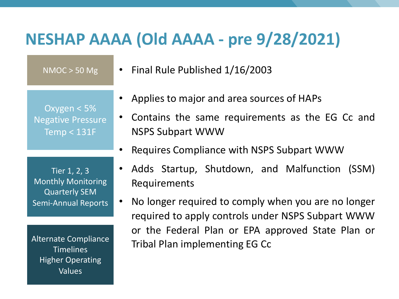#### **NESHAP AAAA (Old AAAA - pre 9/28/2021)**

NMOC > 50 Mg

Oxygen < 5% Negative Pressure Temp < 131F

• Final Rule Published 1/16/2003

- Applies to major and area sources of HAPs
- Contains the same requirements as the EG Cc and NSPS Subpart WWW
- Requires Compliance with NSPS Subpart WWW

Tier 1, 2, 3 Monthly Monitoring Quarterly SEM Semi-Annual Reports

Alternate Compliance **Timelines** Higher Operating Values

- Adds Startup, Shutdown, and Malfunction (SSM) Requirements
- No longer required to comply when you are no longer required to apply controls under NSPS Subpart WWW or the Federal Plan or EPA approved State Plan or Tribal Plan implementing EG Cc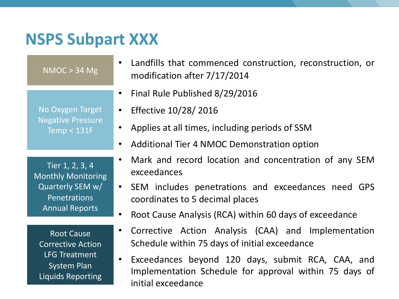#### **NSPS Subpart XXX**

| NMOC > 34 Mg                                                                                                            | • Landfills that commenced construction, reconstruction, or<br>modification after 7/17/2014                                                                                                                                                                         |
|-------------------------------------------------------------------------------------------------------------------------|---------------------------------------------------------------------------------------------------------------------------------------------------------------------------------------------------------------------------------------------------------------------|
| No Oxygen Target<br><b>Negative Pressure</b><br>Temp $<$ 131F                                                           | Final Rule Published 8/29/2016<br>$\bullet$<br>Effective 10/28/ 2016<br>Applies at all times, including periods of SSM<br>Additional Tier 4 NMOC Demonstration option<br>$\bullet$                                                                                  |
| Tier 1, 2, 3, 4<br><b>Monthly Monitoring</b><br>Quarterly SEM w/<br><b>Penetrations</b><br><b>Annual Reports</b>        | Mark and record location and concentration of any SEM<br>exceedances<br>• SEM includes penetrations and exceedances need GPS<br>coordinates to 5 decimal places<br>Root Cause Analysis (RCA) within 60 days of exceedance<br>$\bullet$                              |
| <b>Root Cause</b><br><b>Corrective Action</b><br><b>LFG Treatment</b><br><b>System Plan</b><br><b>Liquids Reporting</b> | Corrective Action Analysis (CAA) and Implementation<br>$\bullet$<br>Schedule within 75 days of initial exceedance<br>Exceedances beyond 120 days, submit RCA, CAA, and<br>$\bullet$<br>Implementation Schedule for approval within 75 days of<br>initial exceedance |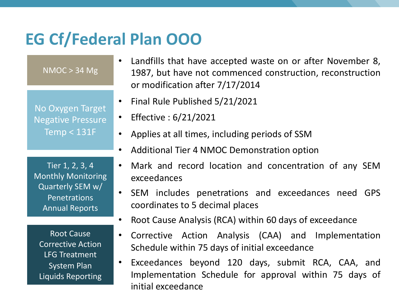#### **EG Cf/Federal Plan OOO**

NMOC > 34 Mg

No Oxygen Target Negative Pressure  $Temp < 131F$ 

- Landfills that have accepted waste on or after November 8, 1987, but have not commenced construction, reconstruction or modification after 7/17/2014
- Final Rule Published 5/21/2021
- Effective : 6/21/2021
- Applies at all times, including periods of SSM
- Additional Tier 4 NMOC Demonstration option

Tier 1, 2, 3, 4 Monthly Monitoring Quarterly SEM w/ Penetrations Annual Reports

Root Cause Corrective Action LFG Treatment System Plan Liquids Reporting

- Mark and record location and concentration of any SEM exceedances
- SEM includes penetrations and exceedances need GPS coordinates to 5 decimal places
- Root Cause Analysis (RCA) within 60 days of exceedance
- Corrective Action Analysis (CAA) and Implementation Schedule within 75 days of initial exceedance
- Exceedances beyond 120 days, submit RCA, CAA, and Implementation Schedule for approval within 75 days of initial exceedance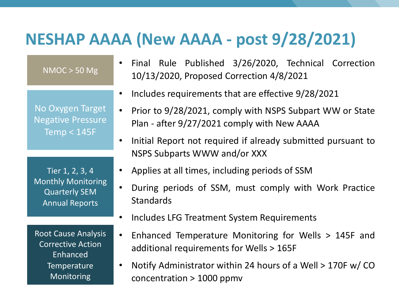#### **NESHAP AAAA (New AAAA - post 9/28/2021)**

NMOC > 50 Mg

No Oxygen Target Negative Pressure Temp < 145F

Tier 1, 2, 3, 4 Monthly Monitoring Quarterly SEM Annual Reports

Root Cause Analysis Corrective Action Enhanced **Temperature** Monitoring

- Final Rule Published 3/26/2020, Technical Correction 10/13/2020, Proposed Correction 4/8/2021
- Includes requirements that are effective 9/28/2021
- Prior to 9/28/2021, comply with NSPS Subpart WW or State Plan - after 9/27/2021 comply with New AAAA
- Initial Report not required if already submitted pursuant to NSPS Subparts WWW and/or XXX
- Applies at all times, including periods of SSM
- During periods of SSM, must comply with Work Practice Standards
- Includes LFG Treatment System Requirements
- Enhanced Temperature Monitoring for Wells > 145F and additional requirements for Wells > 165F
- Notify Administrator within 24 hours of a Well > 170F w/ CO concentration > 1000 ppmv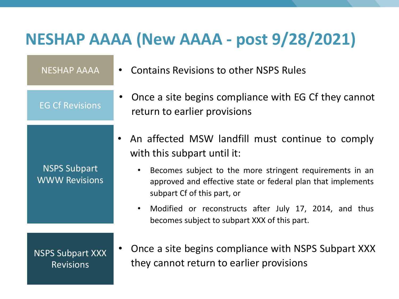#### **NESHAP AAAA (New AAAA - post 9/28/2021)**

| <b>NESHAP AAAA</b>                          | • Contains Revisions to other NSPS Rules                                                                                                                |
|---------------------------------------------|---------------------------------------------------------------------------------------------------------------------------------------------------------|
| <b>EG Cf Revisions</b>                      | • Once a site begins compliance with EG Cf they cannot<br>return to earlier provisions                                                                  |
|                                             | An affected MSW landfill must continue to comply<br>with this subpart until it:                                                                         |
| <b>NSPS Subpart</b><br><b>WWW Revisions</b> | Becomes subject to the more stringent requirements in an<br>approved and effective state or federal plan that implements<br>subpart Cf of this part, or |
|                                             | • Modified or reconstructs after July 17, 2014, and thus<br>becomes subject to subpart XXX of this part.                                                |
| $\blacksquare$                              | Once a site begins compliance with NSPS Subpart XXX                                                                                                     |

NSPS Subpart XXX Revisions

**SPS Subpart XXX** they cannot return to earlier provisions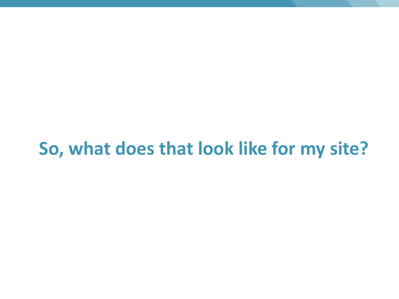### **So, what does that look like for my site?**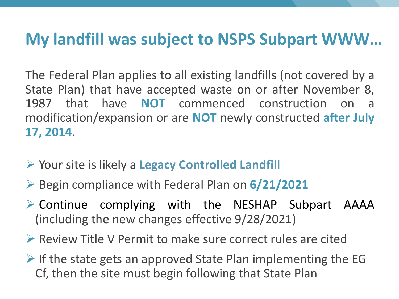#### **My landfill was subject to NSPS Subpart WWW…**

The Federal Plan applies to all existing landfills (not covered by a State Plan) that have accepted waste on or after November 8, 1987 that have **NOT** commenced construction on a modification/expansion or are **NOT** newly constructed **after July 17, 2014**.

- Ø Your site is likely a **Legacy Controlled Landfill**
- Ø Begin compliance with Federal Plan on **6/21/2021**
- $\triangleright$  Continue complying with the NESHAP Subpart AAAA (including the new changes effective 9/28/2021)
- $\triangleright$  Review Title V Permit to make sure correct rules are cited
- $\triangleright$  If the state gets an approved State Plan implementing the EG Cf, then the site must begin following that State Plan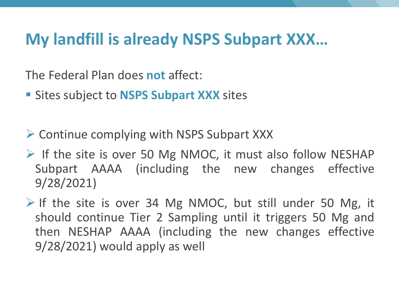#### **My landfill is already NSPS Subpart XXX…**

The Federal Plan does **not** affect:

- § Sites subject to **NSPS Subpart XXX** sites
- $\triangleright$  Continue complying with NSPS Subpart XXX
- $\triangleright$  If the site is over 50 Mg NMOC, it must also follow NESHAP Subpart AAAA (including the new changes effective 9/28/2021)
- $\triangleright$  If the site is over 34 Mg NMOC, but still under 50 Mg, it should continue Tier 2 Sampling until it triggers 50 Mg and then NESHAP AAAA (including the new changes effective 9/28/2021) would apply as well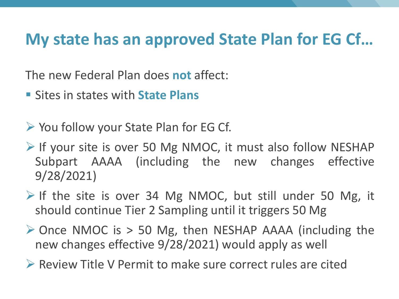#### **My state has an approved State Plan for EG Cf…**

The new Federal Plan does **not** affect:

- Sites in states with **State Plans**
- $\triangleright$  You follow your State Plan for EG Cf.
- $\triangleright$  If your site is over 50 Mg NMOC, it must also follow NESHAP Subpart AAAA (including the new changes effective 9/28/2021)
- $\triangleright$  If the site is over 34 Mg NMOC, but still under 50 Mg, it should continue Tier 2 Sampling until it triggers 50 Mg
- $\triangleright$  Once NMOC is > 50 Mg, then NESHAP AAAA (including the new changes effective 9/28/2021) would apply as well

 $\triangleright$  Review Title V Permit to make sure correct rules are cited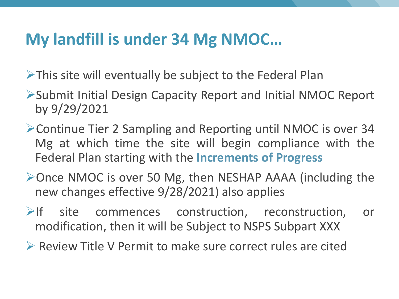#### **My landfill is under 34 Mg NMOC…**

 $\triangleright$ This site will eventually be subject to the Federal Plan

- ØSubmit Initial Design Capacity Report and Initial NMOC Report by 9/29/2021
- ØContinue Tier 2 Sampling and Reporting until NMOC is over 34 Mg at which time the site will begin compliance with the Federal Plan starting with the **Increments of Progress**
- ØOnce NMOC is over 50 Mg, then NESHAP AAAA (including the new changes effective 9/28/2021) also applies
- $\triangleright$ If site commences construction, reconstruction, or modification, then it will be Subject to NSPS Subpart XXX
- $\triangleright$  Review Title V Permit to make sure correct rules are cited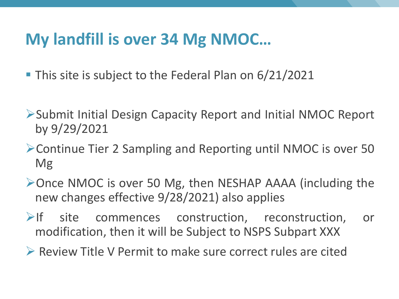#### **My landfill is over 34 Mg NMOC…**

- This site is subject to the Federal Plan on 6/21/2021
- ØSubmit Initial Design Capacity Report and Initial NMOC Report by 9/29/2021
- ØContinue Tier 2 Sampling and Reporting until NMOC is over 50 Mg
- ØOnce NMOC is over 50 Mg, then NESHAP AAAA (including the new changes effective 9/28/2021) also applies
- $\triangleright$  If site commences construction, reconstruction, or modification, then it will be Subject to NSPS Subpart XXX
- Ø Review Title V Permit to make sure correct rules are cited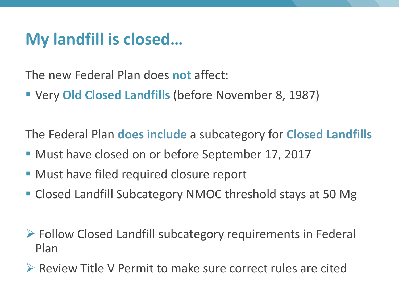#### **My landfill is closed…**

The new Federal Plan does **not** affect:

§ Very **Old Closed Landfills** (before November 8, 1987)

The Federal Plan **does include** a subcategory for **Closed Landfills**

- Must have closed on or before September 17, 2017
- Must have filed required closure report
- Closed Landfill Subcategory NMOC threshold stays at 50 Mg
- $\triangleright$  Follow Closed Landfill subcategory requirements in Federal Plan
- Ø Review Title V Permit to make sure correct rules are cited